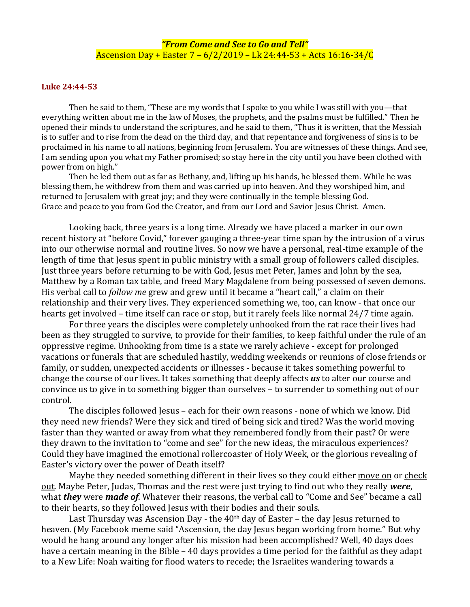## **Luke 24:44-53**

Then he said to them, "These are my words that I spoke to you while I was still with you—that everything written about me in the law of Moses, the prophets, and the psalms must be fulfilled." Then he opened their minds to understand the scriptures, and he said to them, "Thus it is written, that the Messiah is to suffer and to rise from the dead on the third day, and that repentance and forgiveness of sins is to be proclaimed in his name to all nations, beginning from Jerusalem. You are witnesses of these things. And see, I am sending upon you what my Father promised; so stay here in the city until you have been clothed with power from on high."

Then he led them out as far as Bethany, and, lifting up his hands, he blessed them. While he was blessing them, he withdrew from them and was carried up into heaven. And they worshiped him, and returned to Jerusalem with great joy; and they were continually in the temple blessing God. Grace and peace to you from God the Creator, and from our Lord and Savior Jesus Christ. Amen.

Looking back, three years is a long time. Already we have placed a marker in our own recent history at "before Covid," forever gauging a three-year time span by the intrusion of a virus into our otherwise normal and routine lives. So now we have a personal, real-time example of the length of time that Jesus spent in public ministry with a small group of followers called disciples. Just three years before returning to be with God, Jesus met Peter, James and John by the sea, Matthew by a Roman tax table, and freed Mary Magdalene from being possessed of seven demons. His verbal call to *follow me* grew and grew until it became a "heart call," a claim on their relationship and their very lives. They experienced something we, too, can know - that once our hearts get involved – time itself can race or stop, but it rarely feels like normal 24/7 time again.

For three years the disciples were completely unhooked from the rat race their lives had been as they struggled to survive, to provide for their families, to keep faithful under the rule of an oppressive regime. Unhooking from time is a state we rarely achieve - except for prolonged vacations or funerals that are scheduled hastily, wedding weekends or reunions of close friends or family, or sudden, unexpected accidents or illnesses - because it takes something powerful to change the course of our lives. It takes something that deeply affects *us* to alter our course and convince us to give in to something bigger than ourselves – to surrender to something out of our control.

The disciples followed Jesus – each for their own reasons - none of which we know. Did they need new friends? Were they sick and tired of being sick and tired? Was the world moving faster than they wanted or away from what they remembered fondly from their past? Or were they drawn to the invitation to "come and see" for the new ideas, the miraculous experiences? Could they have imagined the emotional rollercoaster of Holy Week, or the glorious revealing of Easter's victory over the power of Death itself?

Maybe they needed something different in their lives so they could either move on or check out. Maybe Peter, Judas, Thomas and the rest were just trying to find out who they really *were*, what *they* were *made of*. Whatever their reasons, the verbal call to "Come and See" became a call to their hearts, so they followed Jesus with their bodies and their souls.

Last Thursday was Ascension Day - the  $40<sup>th</sup>$  day of Easter – the day Jesus returned to heaven. (My Facebook meme said "Ascension, the day Jesus began working from home." But why would he hang around any longer after his mission had been accomplished? Well, 40 days does have a certain meaning in the Bible – 40 days provides a time period for the faithful as they adapt to a New Life: Noah waiting for flood waters to recede; the Israelites wandering towards a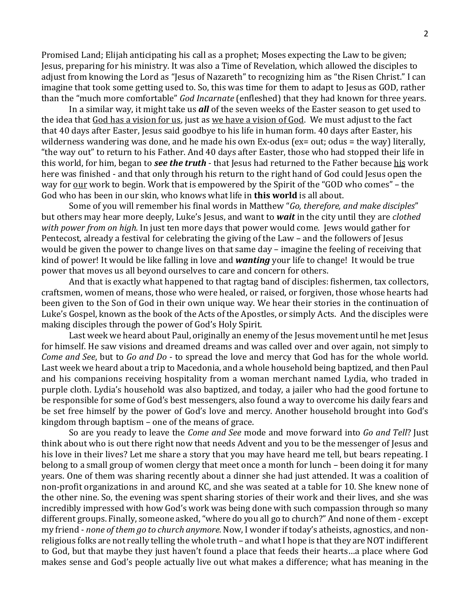Promised Land; Elijah anticipating his call as a prophet; Moses expecting the Law to be given; Jesus, preparing for his ministry. It was also a Time of Revelation, which allowed the disciples to adjust from knowing the Lord as "Jesus of Nazareth" to recognizing him as "the Risen Christ." I can imagine that took some getting used to. So, this was time for them to adapt to Jesus as GOD, rather than the "much more comfortable" *God Incarnate* (enfleshed) that they had known for three years.

In a similar way, it might take us *all* of the seven weeks of the Easter season to get used to the idea that God has a vision for us, just as we have a vision of God. We must adjust to the fact that 40 days after Easter, Jesus said goodbye to his life in human form. 40 days after Easter, his wilderness wandering was done, and he made his own Ex-odus (ex= out; odus = the way) literally, "the way out" to return to his Father. And 40 days after Easter, those who had stopped their life in this world, for him, began to *see the truth* - that Jesus had returned to the Father because his work here was finished - and that only through his return to the right hand of God could Jesus open the way for <u>our</u> work to begin. Work that is empowered by the Spirit of the "GOD who comes" – the God who has been in our skin, who knows what life in **this world** is all about.

Some of you will remember his final words in Matthew "*Go, therefore, and make disciples*" but others may hear more deeply, Luke's Jesus, and want to *wait* in the city until they are *clothed with power from on high.* In just ten more days that power would come. Jews would gather for Pentecost, already a festival for celebrating the giving of the Law – and the followers of Jesus would be given the power to change lives on that same day – imagine the feeling of receiving that kind of power! It would be like falling in love and *wanting* your life to change! It would be true power that moves us all beyond ourselves to care and concern for others.

And that is exactly what happened to that ragtag band of disciples: fishermen, tax collectors, craftsmen, women of means, those who were healed, or raised, or forgiven, those whose hearts had been given to the Son of God in their own unique way. We hear their stories in the continuation of Luke's Gospel, known as the book of the Acts of the Apostles, or simply Acts. And the disciples were making disciples through the power of God's Holy Spirit.

Last week we heard about Paul, originally an enemy of the Jesus movement until he met Jesus for himself. He saw visions and dreamed dreams and was called over and over again, not simply to *Come and See*, but to *Go and Do* - to spread the love and mercy that God has for the whole world. Last week we heard about a trip to Macedonia, and a whole household being baptized, and then Paul and his companions receiving hospitality from a woman merchant named Lydia, who traded in purple cloth. Lydia's household was also baptized, and today, a jailer who had the good fortune to be responsible for some of God's best messengers, also found a way to overcome his daily fears and be set free himself by the power of God's love and mercy. Another household brought into God's kingdom through baptism – one of the means of grace.

So are you ready to leave the *Come and See* mode and move forward into *Go and Tell*? Just think about who is out there right now that needs Advent and you to be the messenger of Jesus and his love in their lives? Let me share a story that you may have heard me tell, but bears repeating. I belong to a small group of women clergy that meet once a month for lunch – been doing it for many years. One of them was sharing recently about a dinner she had just attended. It was a coalition of non-profit organizations in and around KC, and she was seated at a table for 10. She knew none of the other nine. So, the evening was spent sharing stories of their work and their lives, and she was incredibly impressed with how God's work was being done with such compassion through so many different groups. Finally, someone asked, "where do you all go to church?" And none of them - except my friend - *none of them go to church anymore.* Now, I wonder if today's atheists, agnostics, and nonreligious folks are not really telling the whole truth – and what I hope is that they are NOT indifferent to God, but that maybe they just haven't found a place that feeds their hearts…a place where God makes sense and God's people actually live out what makes a difference; what has meaning in the